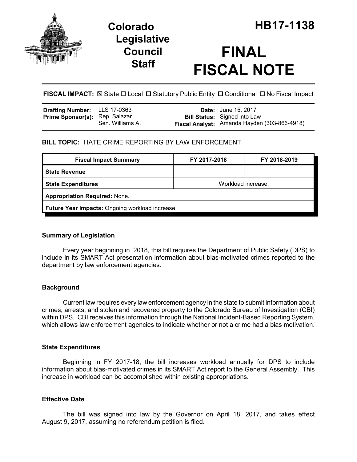

## **Legislative Council Staff**

# **FINAL FISCAL NOTE**

**FISCAL IMPACT:**  $\boxtimes$  State  $\Box$  Local  $\Box$  Statutory Public Entity  $\Box$  Conditional  $\Box$  No Fiscal Impact

| <b>Drafting Number:</b> LLS 17-0363   |                  | <b>Date:</b> June 15, 2017                   |
|---------------------------------------|------------------|----------------------------------------------|
| <b>Prime Sponsor(s): Rep. Salazar</b> |                  | <b>Bill Status:</b> Signed into Law          |
|                                       | Sen. Williams A. | Fiscal Analyst: Amanda Hayden (303-866-4918) |

#### **BILL TOPIC:** HATE CRIME REPORTING BY LAW ENFORCEMENT

| Workload increase.                              |  |  |  |  |
|-------------------------------------------------|--|--|--|--|
| <b>Appropriation Required: None.</b>            |  |  |  |  |
| Future Year Impacts: Ongoing workload increase. |  |  |  |  |
|                                                 |  |  |  |  |

#### **Summary of Legislation**

Every year beginning in 2018, this bill requires the Department of Public Safety (DPS) to include in its SMART Act presentation information about bias-motivated crimes reported to the department by law enforcement agencies.

#### **Background**

Current law requires every law enforcement agency in the state to submit information about crimes, arrests, and stolen and recovered property to the Colorado Bureau of Investigation (CBI) within DPS. CBI receives this information through the National Incident-Based Reporting System, which allows law enforcement agencies to indicate whether or not a crime had a bias motivation.

#### **State Expenditures**

Beginning in FY 2017-18, the bill increases workload annually for DPS to include information about bias-motivated crimes in its SMART Act report to the General Assembly. This increase in workload can be accomplished within existing appropriations.

#### **Effective Date**

The bill was signed into law by the Governor on April 18, 2017, and takes effect August 9, 2017, assuming no referendum petition is filed.